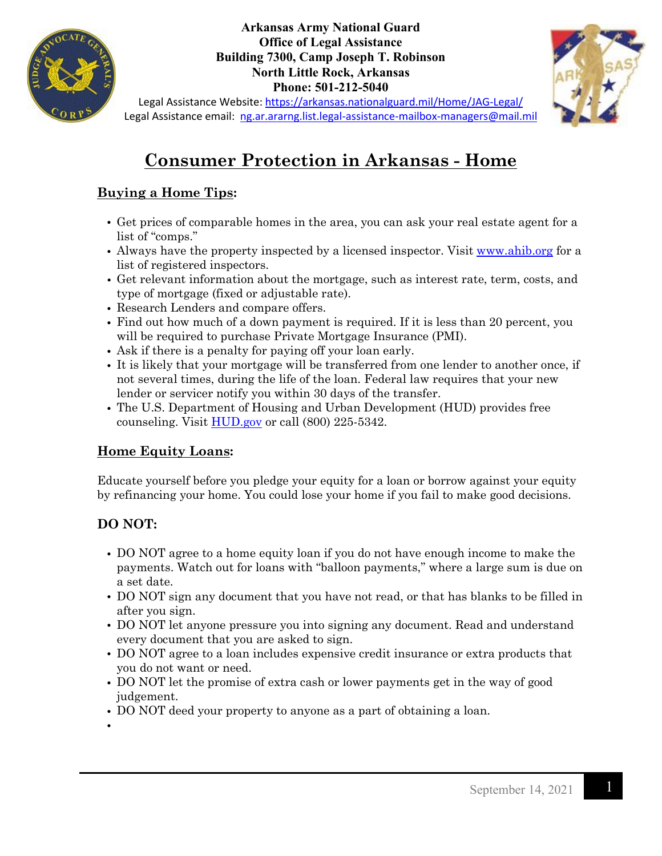

#### **Arkansas Army National Guard Office of Legal Assistance Building 7300, Camp Joseph T. Robinson North Little Rock, Arkansas Phone: 501-212-5040**



Legal Assistance Website:<https://arkansas.nationalguard.mil/Home/JAG-Legal/> Legal Assistance email: [ng.ar.ararng.list.legal-assistance-mailbox-managers@mail.mil](mailto:ng.ar.ararng.list.legal-assistance-mailbox-managers@mail.mil)

# **Consumer Protection in Arkansas - Home**

# **Buying a Home Tips:**

- Get prices of comparable homes in the area, you can ask your real estate agent for a list of "comps."
- Always have the property inspected by a licensed inspector. Visit [www.ahib.org](http://www.ahib.org/) for a list of registered inspectors.
- Get relevant information about the mortgage, such as interest rate, term, costs, and type of mortgage (fixed or adjustable rate).
- Research Lenders and compare offers.
- Find out how much of a down payment is required. If it is less than 20 percent, you will be required to purchase Private Mortgage Insurance (PMI).
- Ask if there is a penalty for paying off your loan early.
- It is likely that your mortgage will be transferred from one lender to another once, if not several times, during the life of the loan. Federal law requires that your new lender or servicer notify you within 30 days of the transfer.
- The U.S. Department of Housing and Urban Development (HUD) provides free counseling. Visit  $\underline{HUD.gov}$  or call (800) 225-5342.

# **Home Equity Loans:**

Educate yourself before you pledge your equity for a loan or borrow against your equity by refinancing your home. You could lose your home if you fail to make good decisions.

# **DO NOT:**

- DO NOT agree to a home equity loan if you do not have enough income to make the payments. Watch out for loans with "balloon payments," where a large sum is due on a set date.
- DO NOT sign any document that you have not read, or that has blanks to be filled in after you sign.
- DO NOT let anyone pressure you into signing any document. Read and understand every document that you are asked to sign.
- DO NOT agree to a loan includes expensive credit insurance or extra products that you do not want or need.
- DO NOT let the promise of extra cash or lower payments get in the way of good judgement.
- DO NOT deed your property to anyone as a part of obtaining a loan.
- •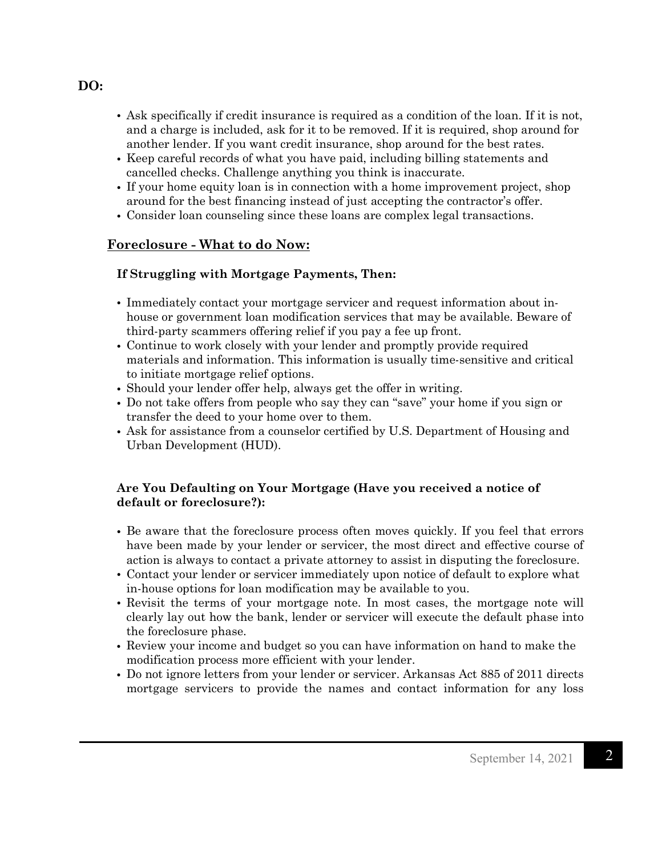- Ask specifically if credit insurance is required as a condition of the loan. If it is not, and a charge is included, ask for it to be removed. If it is required, shop around for another lender. If you want credit insurance, shop around for the best rates.
- Keep careful records of what you have paid, including billing statements and cancelled checks. Challenge anything you think is inaccurate.
- If your home equity loan is in connection with a home improvement project, shop around for the best financing instead of just accepting the contractor's offer.
- Consider loan counseling since these loans are complex legal transactions.

## **Foreclosure - What to do Now:**

## **If Struggling with Mortgage Payments, Then:**

- Immediately contact your mortgage servicer and request information about inhouse or government loan modification services that may be available. Beware of third-party scammers offering relief if you pay a fee up front.
- Continue to work closely with your lender and promptly provide required materials and information. This information is usually time-sensitive and critical to initiate mortgage relief options.
- Should your lender offer help, always get the offer in writing.
- Do not take offers from people who say they can "save" your home if you sign or transfer the deed to your home over to them.
- Ask for assistance from a counselor certified by U.S. Department of Housing and Urban Development (HUD).

#### **Are You Defaulting on Your Mortgage (Have you received a notice of default or foreclosure?):**

- Be aware that the foreclosure process often moves quickly. If you feel that errors have been made by your lender or servicer, the most direct and effective course of action is always to contact a private attorney to assist in disputing the foreclosure.
- Contact your lender or servicer immediately upon notice of default to explore what in-house options for loan modification may be available to you.
- Revisit the terms of your mortgage note. In most cases, the mortgage note will clearly lay out how the bank, lender or servicer will execute the default phase into the foreclosure phase.
- Review your income and budget so you can have information on hand to make the modification process more efficient with your lender.
- Do not ignore letters from your lender or servicer. Arkansas Act 885 of 2011 directs mortgage servicers to provide the names and contact information for any loss

#### **DO:**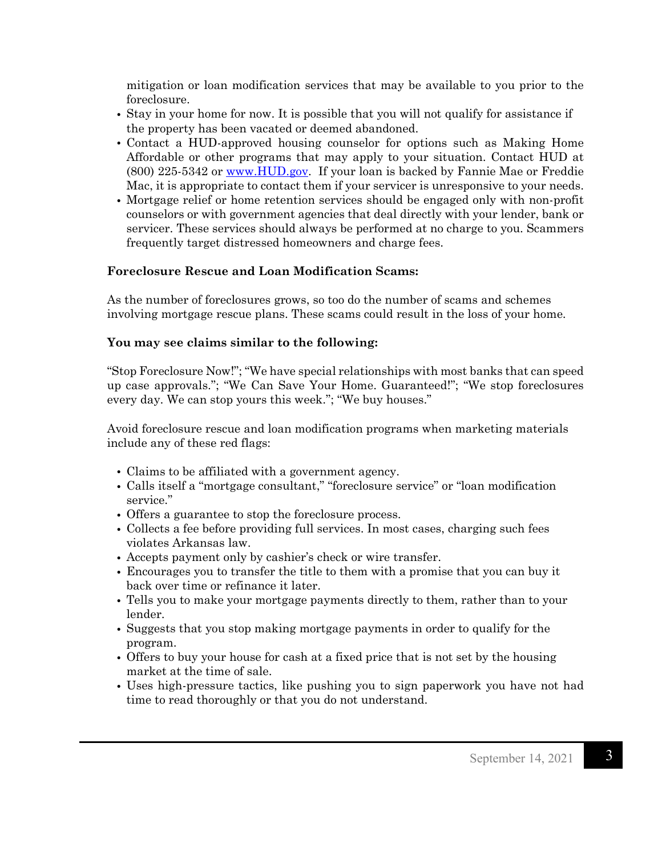mitigation or loan modification services that may be available to you prior to the foreclosure.

- Stay in your home for now. It is possible that you will not qualify for assistance if the property has been vacated or deemed abandoned.
- Contact a HUD-approved housing counselor for options such as Making Home Affordable or other programs that may apply to your situation. Contact HUD at (800) 225-5342 or [www.HUD.gov.](http://www.hud.gov/) If your loan is backed by Fannie Mae or Freddie Mac, it is appropriate to contact them if your servicer is unresponsive to your needs.
- Mortgage relief or home retention services should be engaged only with non-profit counselors or with government agencies that deal directly with your lender, bank or servicer. These services should always be performed at no charge to you. Scammers frequently target distressed homeowners and charge fees.

#### **Foreclosure Rescue and Loan Modification Scams:**

As the number of foreclosures grows, so too do the number of scams and schemes involving mortgage rescue plans. These scams could result in the loss of your home.

#### **You may see claims similar to the following:**

"Stop Foreclosure Now!"; "We have special relationships with most banks that can speed up case approvals."; "We Can Save Your Home. Guaranteed!"; "We stop foreclosures every day. We can stop yours this week."; "We buy houses."

Avoid foreclosure rescue and loan modification programs when marketing materials include any of these red flags:

- Claims to be affiliated with a government agency.
- Calls itself a "mortgage consultant," "foreclosure service" or "loan modification service."
- Offers a guarantee to stop the foreclosure process.
- Collects a fee before providing full services. In most cases, charging such fees violates Arkansas law.
- Accepts payment only by cashier's check or wire transfer.
- Encourages you to transfer the title to them with a promise that you can buy it back over time or refinance it later.
- Tells you to make your mortgage payments directly to them, rather than to your lender.
- Suggests that you stop making mortgage payments in order to qualify for the program.
- Offers to buy your house for cash at a fixed price that is not set by the housing market at the time of sale.
- Uses high-pressure tactics, like pushing you to sign paperwork you have not had time to read thoroughly or that you do not understand.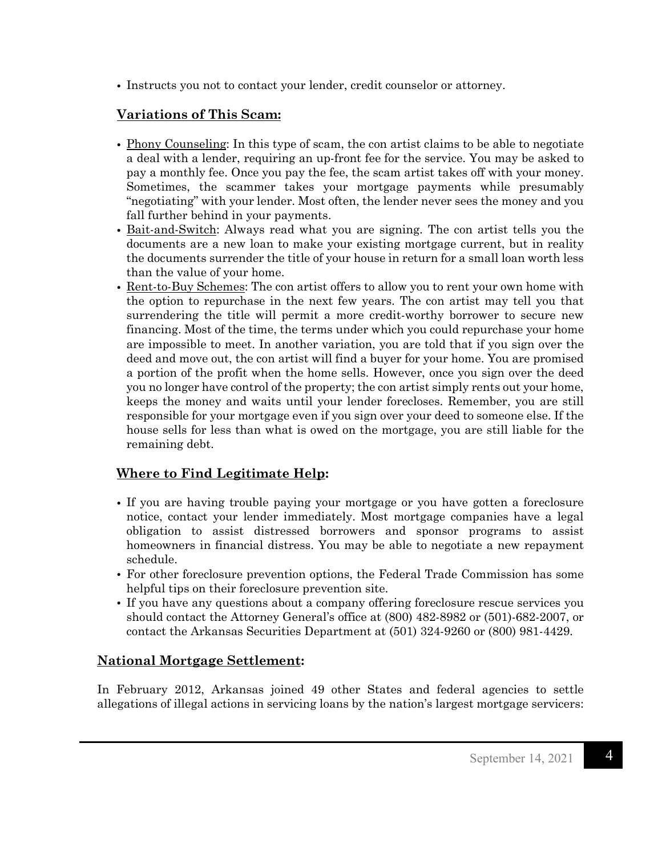• Instructs you not to contact your lender, credit counselor or attorney.

# **Variations of This Scam:**

- Phony Counseling: In this type of scam, the con artist claims to be able to negotiate a deal with a lender, requiring an up-front fee for the service. You may be asked to pay a monthly fee. Once you pay the fee, the scam artist takes off with your money. Sometimes, the scammer takes your mortgage payments while presumably "negotiating" with your lender. Most often, the lender never sees the money and you fall further behind in your payments.
- Bait-and-Switch: Always read what you are signing. The con artist tells you the documents are a new loan to make your existing mortgage current, but in reality the documents surrender the title of your house in return for a small loan worth less than the value of your home.
- Rent-to-Buy Schemes: The con artist offers to allow you to rent your own home with the option to repurchase in the next few years. The con artist may tell you that surrendering the title will permit a more credit-worthy borrower to secure new financing. Most of the time, the terms under which you could repurchase your home are impossible to meet. In another variation, you are told that if you sign over the deed and move out, the con artist will find a buyer for your home. You are promised a portion of the profit when the home sells. However, once you sign over the deed you no longer have control of the property; the con artist simply rents out your home, keeps the money and waits until your lender forecloses. Remember, you are still responsible for your mortgage even if you sign over your deed to someone else. If the house sells for less than what is owed on the mortgage, you are still liable for the remaining debt.

# **Where to Find Legitimate Help:**

- If you are having trouble paying your mortgage or you have gotten a foreclosure notice, contact your lender immediately. Most mortgage companies have a legal obligation to assist distressed borrowers and sponsor programs to assist homeowners in financial distress. You may be able to negotiate a new repayment schedule.
- For other foreclosure prevention options, the Federal Trade Commission has some helpful tips on their foreclosure prevention site.
- If you have any questions about a company offering foreclosure rescue services you should contact the Attorney General's office at (800) 482-8982 or (501)-682-2007, or contact the Arkansas Securities Department at (501) 324-9260 or (800) 981-4429.

## **National Mortgage Settlement:**

In February 2012, Arkansas joined 49 other States and federal agencies to settle allegations of illegal actions in servicing loans by the nation's largest mortgage servicers: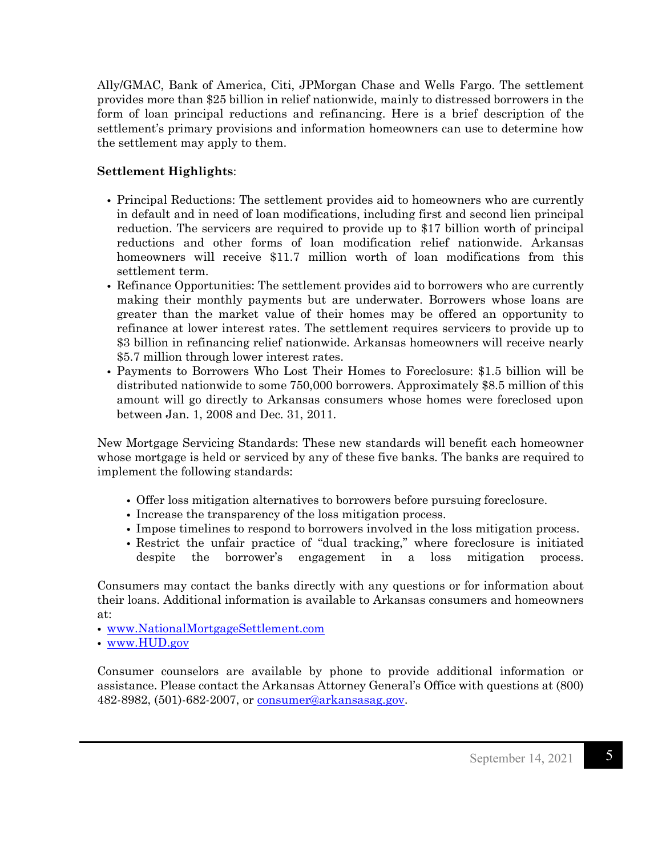Ally/GMAC, Bank of America, Citi, JPMorgan Chase and Wells Fargo. The settlement provides more than \$25 billion in relief nationwide, mainly to distressed borrowers in the form of loan principal reductions and refinancing. Here is a brief description of the settlement's primary provisions and information homeowners can use to determine how the settlement may apply to them.

## **Settlement Highlights**:

- Principal Reductions: The settlement provides aid to homeowners who are currently in default and in need of loan modifications, including first and second lien principal reduction. The servicers are required to provide up to \$17 billion worth of principal reductions and other forms of loan modification relief nationwide. Arkansas homeowners will receive \$11.7 million worth of loan modifications from this settlement term.
- Refinance Opportunities: The settlement provides aid to borrowers who are currently making their monthly payments but are underwater. Borrowers whose loans are greater than the market value of their homes may be offered an opportunity to refinance at lower interest rates. The settlement requires servicers to provide up to \$3 billion in refinancing relief nationwide. Arkansas homeowners will receive nearly \$5.7 million through lower interest rates.
- Payments to Borrowers Who Lost Their Homes to Foreclosure: \$1.5 billion will be distributed nationwide to some 750,000 borrowers. Approximately \$8.5 million of this amount will go directly to Arkansas consumers whose homes were foreclosed upon between Jan. 1, 2008 and Dec. 31, 2011.

New Mortgage Servicing Standards: These new standards will benefit each homeowner whose mortgage is held or serviced by any of these five banks. The banks are required to implement the following standards:

- Offer loss mitigation alternatives to borrowers before pursuing foreclosure.
- Increase the transparency of the loss mitigation process.
- Impose timelines to respond to borrowers involved in the loss mitigation process.
- Restrict the unfair practice of "dual tracking," where foreclosure is initiated despite the borrower's engagement in a loss mitigation process.

Consumers may contact the banks directly with any questions or for information about their loans. Additional information is available to Arkansas consumers and homeowners at:

• [www.NationalMortgageSettlement.com](http://www.nationalmortgagesettlement.com/)

• [www.HUD.gov](http://www.hud.gov/)

Consumer counselors are available by phone to provide additional information or assistance. Please contact the Arkansas Attorney General's Office with questions at (800) 482-8982, (501)-682-2007, or [consumer@arkansasag.gov.](mailto:consumer@arkansasag.gov)